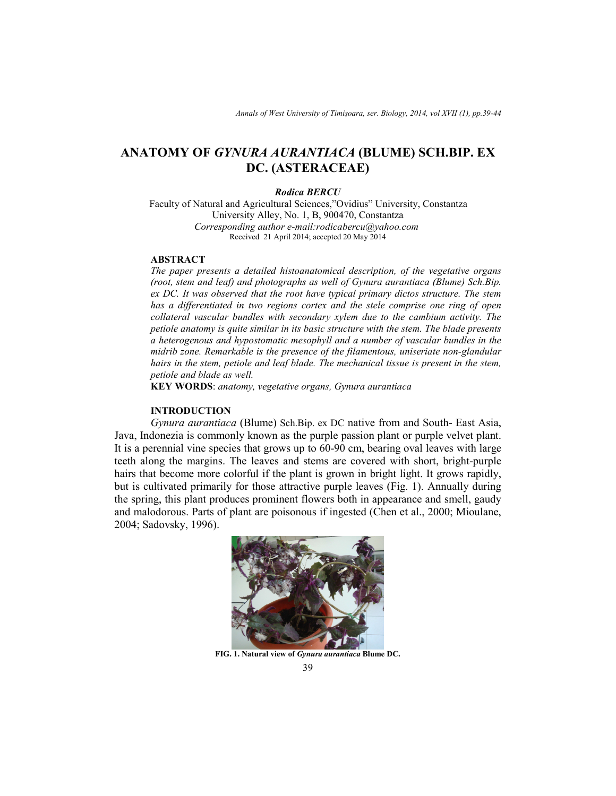# **ANATOMY OF** *GYNURA AURANTIACA* **(BLUME) SCH.BIP. EX DC. (ASTERACEAE)**

#### *Rodica BERCU*

Faculty of Natural and Agricultural Sciences,"Ovidius" University, Constantza University Alley, No. 1, B, 900470, Constantza  *Corresponding author e-mail:rodicabercu@yahoo.com*  Received 21 April 2014; accepted 20 May 2014

## **ABSTRACT**

*The paper presents a detailed histoanatomical description, of the vegetative organs (root, stem and leaf) and photographs as well of Gynura aurantiaca (Blume) Sch.Bip. ex DC. It was observed that the root have typical primary dictos structure. The stem has a differentiated in two regions cortex and the stele comprise one ring of open collateral vascular bundles with secondary xylem due to the cambium activity. The petiole anatomy is quite similar in its basic structure with the stem. The blade presents a heterogenous and hypostomatic mesophyll and a number of vascular bundles in the midrib zone. Remarkable is the presence of the filamentous, uniseriate non-glandular*  hairs in the stem, petiole and leaf blade. The mechanical tissue is present in the stem, *petiole and blade as well.* 

**KEY WORDS**: *anatomy, vegetative organs, Gynura aurantiaca*

# **INTRODUCTION**

*Gynura aurantiaca* (Blume) Sch.Bip. ex DC native from and South- East Asia, Java, Indonezia is commonly known as the purple passion plant or purple velvet plant. It is a perennial vine species that grows up to 60-90 cm, bearing oval leaves with large teeth along the margins. The leaves and stems are covered with short, bright-purple hairs that become more colorful if the plant is grown in bright light. It grows rapidly, but is cultivated primarily for those attractive purple leaves (Fig. 1). Annually during the spring, this plant produces prominent flowers both in appearance and smell, gaudy and malodorous. Parts of plant are poisonous if ingested (Chen et al., 2000; Mioulane, 2004; Sadovsky, 1996).



**FIG. 1. Natural view of** *Gynura aurantiaca* **Blume DC.**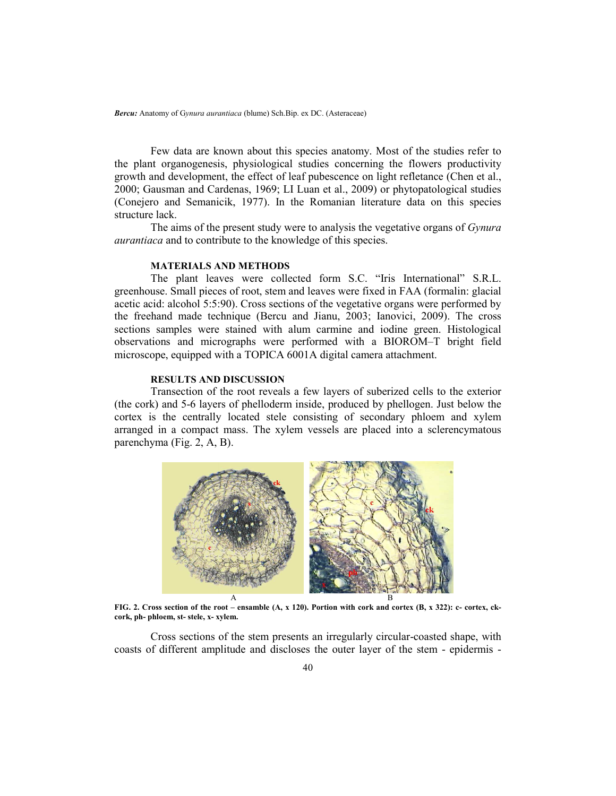*Bercu:* Anatomy of G*ynura aurantiaca* (blume) Sch.Bip. ex DC. (Asteraceae)

Few data are known about this species anatomy. Most of the studies refer to the plant organogenesis, physiological studies concerning the flowers productivity growth and development, the effect of leaf pubescence on light refletance (Chen et al., 2000; Gausman and Cardenas, 1969; LI Luan et al., 2009) or phytopatological studies (Conejero and Semanicik, 1977). In the Romanian literature data on this species structure lack.

The aims of the present study were to analysis the vegetative organs of *Gynura aurantiaca* and to contribute to the knowledge of this species.

## **MATERIALS AND METHODS**

The plant leaves were collected form S.C. "Iris International" S.R.L. greenhouse. Small pieces of root, stem and leaves were fixed in FAA (formalin: glacial acetic acid: alcohol 5:5:90). Cross sections of the vegetative organs were performed by the freehand made technique (Bercu and Jianu, 2003; Ianovici, 2009). The cross sections samples were stained with alum carmine and iodine green. Histological observations and micrographs were performed with a BIOROM–T bright field microscope, equipped with a TOPICA 6001A digital camera attachment.

## **RESULTS AND DISCUSSION**

Transection of the root reveals a few layers of suberized cells to the exterior (the cork) and 5-6 layers of phelloderm inside, produced by phellogen. Just below the cortex is the centrally located stele consisting of secondary phloem and xylem arranged in a compact mass. The xylem vessels are placed into a sclerencymatous parenchyma (Fig. 2, A, B).



**FIG. 2. Cross section of the root – ensamble (A, x 120). Portion with cork and cortex (B, x 322): c- cortex, ckcork, ph- phloem, st- stele, x- xylem.** 

Cross sections of the stem presents an irregularly circular-coasted shape, with coasts of different amplitude and discloses the outer layer of the stem - epidermis -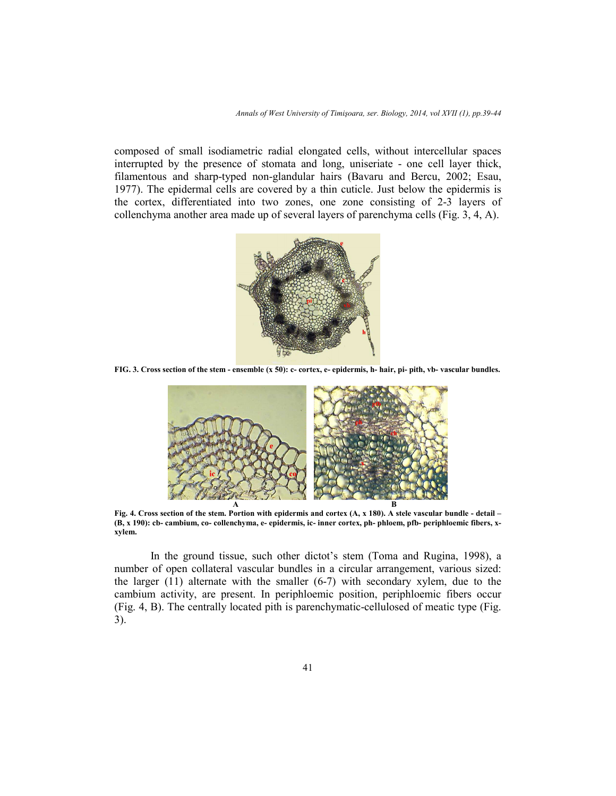composed of small isodiametric radial elongated cells, without intercellular spaces interrupted by the presence of stomata and long, uniseriate - one cell layer thick, filamentous and sharp-typed non-glandular hairs (Bavaru and Bercu, 2002; Esau, 1977). The epidermal cells are covered by a thin cuticle. Just below the epidermis is the cortex, differentiated into two zones, one zone consisting of 2-3 layers of collenchyma another area made up of several layers of parenchyma cells (Fig. 3, 4, A).



**FIG. 3. Cross section of the stem - ensemble (x 50): c- cortex, e- epidermis, h- hair, pi- pith, vb- vascular bundles.** 



**Fig. 4. Cross section of the stem. Portion with epidermis and cortex (A, x 180). A stele vascular bundle - detail – (B, x 190): cb- cambium, co- collenchyma, e- epidermis, ic- inner cortex, ph- phloem, pfb- periphloemic fibers, xxylem.** 

In the ground tissue, such other dictot's stem (Toma and Rugina, 1998), a number of open collateral vascular bundles in a circular arrangement, various sized: the larger  $(11)$  alternate with the smaller  $(6-7)$  with secondary xylem, due to the cambium activity, are present. In periphloemic position, periphloemic fibers occur (Fig. 4, B). The centrally located pith is parenchymatic-cellulosed of meatic type (Fig. 3).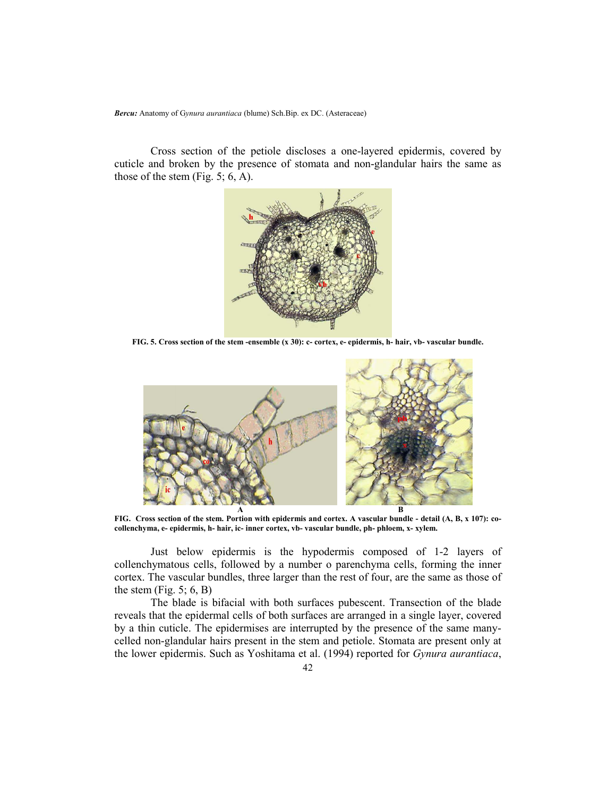*Bercu:* Anatomy of G*ynura aurantiaca* (blume) Sch.Bip. ex DC. (Asteraceae)

Cross section of the petiole discloses a one-layered epidermis, covered by cuticle and broken by the presence of stomata and non-glandular hairs the same as those of the stem (Fig. 5; 6, A).



**FIG. 5. Cross section of the stem -ensemble (x 30): c- cortex, e- epidermis, h- hair, vb- vascular bundle.** 



**FIG. Cross section of the stem. Portion with epidermis and cortex. A vascular bundle - detail (A, B, x 107): cocollenchyma, e- epidermis, h- hair, ic- inner cortex, vb- vascular bundle, ph- phloem, x- xylem.** 

Just below epidermis is the hypodermis composed of 1-2 layers of collenchymatous cells, followed by a number o parenchyma cells, forming the inner cortex. The vascular bundles, three larger than the rest of four, are the same as those of the stem (Fig.  $5$ ; 6, B)

The blade is bifacial with both surfaces pubescent. Transection of the blade reveals that the epidermal cells of both surfaces are arranged in a single layer, covered by a thin cuticle. The epidermises are interrupted by the presence of the same manycelled non-glandular hairs present in the stem and petiole. Stomata are present only at the lower epidermis. Such as Yoshitama et al. (1994) reported for *Gynura aurantiaca*,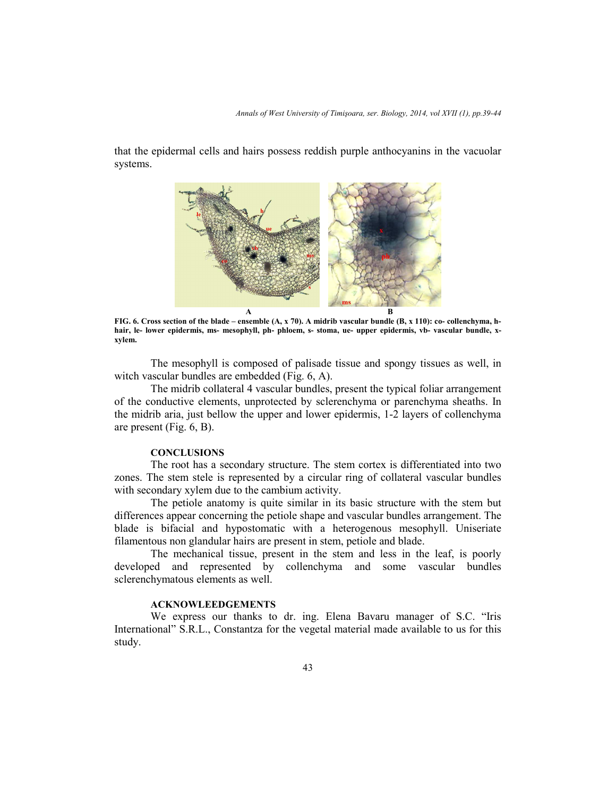*Annals of West University of Timişoara, ser. Biology, 2014, vol XVII (1), pp.39-44*

that the epidermal cells and hairs possess reddish purple anthocyanins in the vacuolar systems.



**FIG. 6. Cross section of the blade – ensemble (A, x 70). A midrib vascular bundle (B, x 110): co- collenchyma, hhair, le- lower epidermis, ms- mesophyll, ph- phloem, s- stoma, ue- upper epidermis, vb- vascular bundle, xxylem.** 

The mesophyll is composed of palisade tissue and spongy tissues as well, in witch vascular bundles are embedded (Fig. 6, A).

The midrib collateral 4 vascular bundles, present the typical foliar arrangement of the conductive elements, unprotected by sclerenchyma or parenchyma sheaths. In the midrib aria, just bellow the upper and lower epidermis, 1-2 layers of collenchyma are present (Fig. 6, B).

#### **CONCLUSIONS**

The root has a secondary structure. The stem cortex is differentiated into two zones. The stem stele is represented by a circular ring of collateral vascular bundles with secondary xylem due to the cambium activity.

The petiole anatomy is quite similar in its basic structure with the stem but differences appear concerning the petiole shape and vascular bundles arrangement. The blade is bifacial and hypostomatic with a heterogenous mesophyll. Uniseriate filamentous non glandular hairs are present in stem, petiole and blade.

The mechanical tissue, present in the stem and less in the leaf, is poorly developed and represented by collenchyma and some vascular bundles sclerenchymatous elements as well.

## **ACKNOWLEEDGEMENTS**

We express our thanks to dr. ing. Elena Bavaru manager of S.C. "Iris International" S.R.L., Constantza for the vegetal material made available to us for this study.